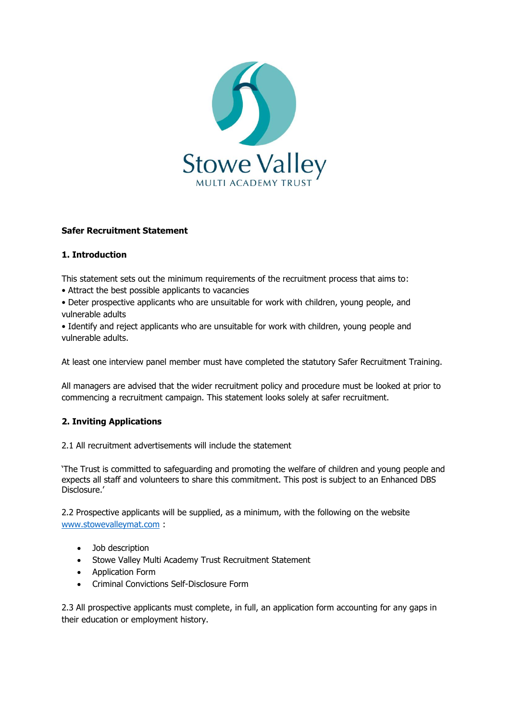

# **Safer Recruitment Statement**

## **1. Introduction**

This statement sets out the minimum requirements of the recruitment process that aims to:

- Attract the best possible applicants to vacancies
- Deter prospective applicants who are unsuitable for work with children, young people, and vulnerable adults

• Identify and reject applicants who are unsuitable for work with children, young people and vulnerable adults.

At least one interview panel member must have completed the statutory Safer Recruitment Training.

All managers are advised that the wider recruitment policy and procedure must be looked at prior to commencing a recruitment campaign. This statement looks solely at safer recruitment.

# **2. Inviting Applications**

2.1 All recruitment advertisements will include the statement

'The Trust is committed to safeguarding and promoting the welfare of children and young people and expects all staff and volunteers to share this commitment. This post is subject to an Enhanced DBS Disclosure.'

2.2 Prospective applicants will be supplied, as a minimum, with the following on the website [www.stowevalleymat.com](http://www.stowevalleymat.com/) :

- Job description
- Stowe Valley Multi Academy Trust Recruitment Statement
- Application Form
- Criminal Convictions Self-Disclosure Form

2.3 All prospective applicants must complete, in full, an application form accounting for any gaps in their education or employment history.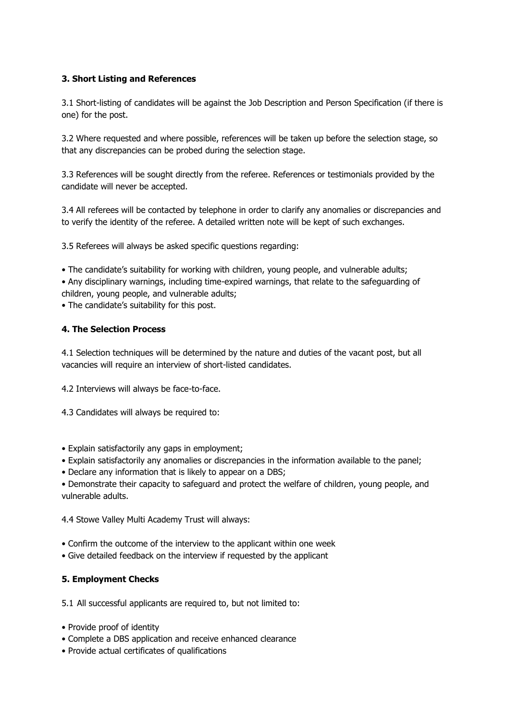## **3. Short Listing and References**

3.1 Short-listing of candidates will be against the Job Description and Person Specification (if there is one) for the post.

3.2 Where requested and where possible, references will be taken up before the selection stage, so that any discrepancies can be probed during the selection stage.

3.3 References will be sought directly from the referee. References or testimonials provided by the candidate will never be accepted.

3.4 All referees will be contacted by telephone in order to clarify any anomalies or discrepancies and to verify the identity of the referee. A detailed written note will be kept of such exchanges.

3.5 Referees will always be asked specific questions regarding:

• The candidate's suitability for working with children, young people, and vulnerable adults; • Any disciplinary warnings, including time-expired warnings, that relate to the safeguarding of children, young people, and vulnerable adults;

• The candidate's suitability for this post.

## **4. The Selection Process**

4.1 Selection techniques will be determined by the nature and duties of the vacant post, but all vacancies will require an interview of short-listed candidates.

- 4.2 Interviews will always be face-to-face.
- 4.3 Candidates will always be required to:
- Explain satisfactorily any gaps in employment;
- Explain satisfactorily any anomalies or discrepancies in the information available to the panel;
- Declare any information that is likely to appear on a DBS;

• Demonstrate their capacity to safeguard and protect the welfare of children, young people, and vulnerable adults.

4.4 Stowe Valley Multi Academy Trust will always:

- Confirm the outcome of the interview to the applicant within one week
- Give detailed feedback on the interview if requested by the applicant

# **5. Employment Checks**

5.1 All successful applicants are required to, but not limited to:

- Provide proof of identity
- Complete a DBS application and receive enhanced clearance
- Provide actual certificates of qualifications